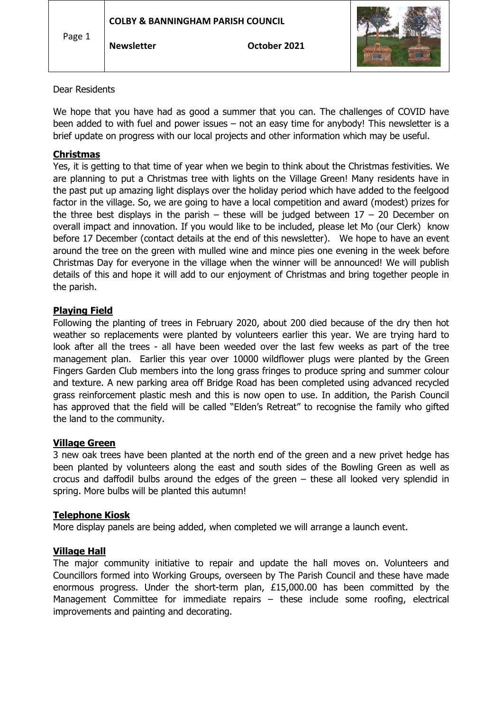| Page 1 | <b>COLBY &amp; BANNINGHAM PARISH COUNCIL</b> |              |  |
|--------|----------------------------------------------|--------------|--|
|        | <b>Newsletter</b>                            | October 2021 |  |

### Dear Residents

We hope that you have had as good a summer that you can. The challenges of COVID have been added to with fuel and power issues – not an easy time for anybody! This newsletter is a brief update on progress with our local projects and other information which may be useful.

# **Christmas**

Yes, it is getting to that time of year when we begin to think about the Christmas festivities. We are planning to put a Christmas tree with lights on the Village Green! Many residents have in the past put up amazing light displays over the holiday period which have added to the feelgood factor in the village. So, we are going to have a local competition and award (modest) prizes for the three best displays in the parish – these will be judged between  $17 - 20$  December on overall impact and innovation. If you would like to be included, please let Mo (our Clerk) know before 17 December (contact details at the end of this newsletter). We hope to have an event around the tree on the green with mulled wine and mince pies one evening in the week before Christmas Day for everyone in the village when the winner will be announced! We will publish details of this and hope it will add to our enjoyment of Christmas and bring together people in the parish.

# **Playing Field**

Following the planting of trees in February 2020, about 200 died because of the dry then hot weather so replacements were planted by volunteers earlier this year. We are trying hard to look after all the trees - all have been weeded over the last few weeks as part of the tree management plan. Earlier this year over 10000 wildflower plugs were planted by the Green Fingers Garden Club members into the long grass fringes to produce spring and summer colour and texture. A new parking area off Bridge Road has been completed using advanced recycled grass reinforcement plastic mesh and this is now open to use. In addition, the Parish Council has approved that the field will be called "Elden's Retreat" to recognise the family who gifted the land to the community.

### **Village Green**

3 new oak trees have been planted at the north end of the green and a new privet hedge has been planted by volunteers along the east and south sides of the Bowling Green as well as crocus and daffodil bulbs around the edges of the green – these all looked very splendid in spring. More bulbs will be planted this autumn!

# **Telephone Kiosk**

More display panels are being added, when completed we will arrange a launch event.

# **Village Hall**

The major community initiative to repair and update the hall moves on. Volunteers and Councillors formed into Working Groups, overseen by The Parish Council and these have made enormous progress. Under the short-term plan, £15,000.00 has been committed by the Management Committee for immediate repairs – these include some roofing, electrical improvements and painting and decorating.